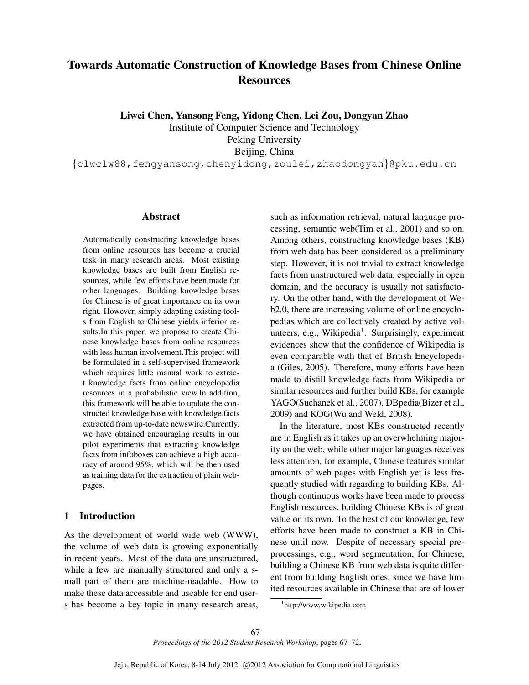# Towards Automatic Construction of Knowledge Bases from Chinese Online **Resources**

Liwei Chen, Yansong Feng, Yidong Chen, Lei Zou, Dongyan Zhao

Institute of Computer Science and Technology Peking University Beijing, China

*{*clwclw88,fengyansong,chenyidong,zoulei,zhaodongyan*}*@pku.edu.cn

#### Abstract

Automatically constructing knowledge bases from online resources has become a crucial task in many research areas. Most existing knowledge bases are built from English resources, while few efforts have been made for other languages. Building knowledge bases for Chinese is of great importance on its own right. However, simply adapting existing tools from English to Chinese yields inferior results.In this paper, we propose to create Chinese knowledge bases from online resources with less human involvement.This project will be formulated in a self-supervised framework which requires little manual work to extract knowledge facts from online encyclopedia resources in a probabilistic view.In addition, this framework will be able to update the constructed knowledge base with knowledge facts extracted from up-to-date newswire.Currently, we have obtained encouraging results in our pilot experiments that extracting knowledge facts from infoboxes can achieve a high accuracy of around 95%, which will be then used as training data for the extraction of plain webpages.

# 1 Introduction

As the development of world wide web (WWW), the volume of web data is growing exponentially in recent years. Most of the data are unstructured, while a few are manually structured and only a small part of them are machine-readable. How to make these data accessible and useable for end users has become a key topic in many research areas, such as information retrieval, natural language processing, semantic web(Tim et al., 2001) and so on. Among others, constructing knowledge bases (KB) from web data has been considered as a preliminary step. However, it is not trivial to extract knowledge facts from unstructured web data, especially in open domain, and the accuracy is usually not satisfactory. On the other hand, with the development of Web2.0, there are increasing volume of online encyclopedias which are collectively created by active volunteers, e.g., Wikipedia<sup>1</sup>. Surprisingly, experiment evidences show that the confidence of Wikipedia is even comparable with that of British Encyclopedia (Giles, 2005). Therefore, many efforts have been made to distill knowledge facts from Wikipedia or similar resources and further build KBs, for example YAGO(Suchanek et al., 2007), DBpedia(Bizer et al., 2009) and KOG(Wu and Weld, 2008).

In the literature, most KBs constructed recently are in English as it takes up an overwhelming majority on the web, while other major languages receives less attention, for example, Chinese features similar amounts of web pages with English yet is less frequently studied with regarding to building KBs. Although continuous works have been made to process English resources, building Chinese KBs is of great value on its own. To the best of our knowledge, few efforts have been made to construct a KB in Chinese until now. Despite of necessary special preprocessings, e.g., word segmentation, for Chinese, building a Chinese KB from web data is quite different from building English ones, since we have limited resources available in Chinese that are of lower

<sup>1</sup> http://www.wikipedia.com

*Proceedings of the 2012 Student Research Workshop*, pages 67–72,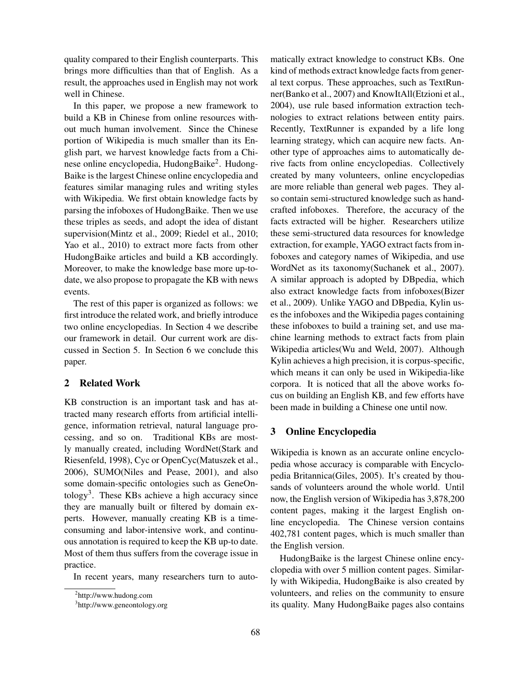quality compared to their English counterparts. This brings more difficulties than that of English. As a result, the approaches used in English may not work well in Chinese.

In this paper, we propose a new framework to build a KB in Chinese from online resources without much human involvement. Since the Chinese portion of Wikipedia is much smaller than its English part, we harvest knowledge facts from a Chinese online encyclopedia, HudongBaike<sup>2</sup>. Hudong-Baike is the largest Chinese online encyclopedia and features similar managing rules and writing styles with Wikipedia. We first obtain knowledge facts by parsing the infoboxes of HudongBaike. Then we use these triples as seeds, and adopt the idea of distant supervision(Mintz et al., 2009; Riedel et al., 2010; Yao et al., 2010) to extract more facts from other HudongBaike articles and build a KB accordingly. Moreover, to make the knowledge base more up-todate, we also propose to propagate the KB with news events.

The rest of this paper is organized as follows: we first introduce the related work, and briefly introduce two online encyclopedias. In Section 4 we describe our framework in detail. Our current work are discussed in Section 5. In Section 6 we conclude this paper.

# 2 Related Work

KB construction is an important task and has attracted many research efforts from artificial intelligence, information retrieval, natural language processing, and so on. Traditional KBs are mostly manually created, including WordNet(Stark and Riesenfeld, 1998), Cyc or OpenCyc(Matuszek et al., 2006), SUMO(Niles and Pease, 2001), and also some domain-specific ontologies such as GeneOntology<sup>3</sup>. These KBs achieve a high accuracy since they are manually built or filtered by domain experts. However, manually creating KB is a timeconsuming and labor-intensive work, and continuous annotation is required to keep the KB up-to date. Most of them thus suffers from the coverage issue in practice.

In recent years, many researchers turn to auto-

matically extract knowledge to construct KBs. One kind of methods extract knowledge facts from general text corpus. These approaches, such as TextRunner(Banko et al., 2007) and KnowItAll(Etzioni et al., 2004), use rule based information extraction technologies to extract relations between entity pairs. Recently, TextRunner is expanded by a life long learning strategy, which can acquire new facts. Another type of approaches aims to automatically derive facts from online encyclopedias. Collectively created by many volunteers, online encyclopedias are more reliable than general web pages. They also contain semi-structured knowledge such as handcrafted infoboxes. Therefore, the accuracy of the facts extracted will be higher. Researchers utilize these semi-structured data resources for knowledge extraction, for example, YAGO extract facts from infoboxes and category names of Wikipedia, and use WordNet as its taxonomy(Suchanek et al., 2007). A similar approach is adopted by DBpedia, which also extract knowledge facts from infoboxes(Bizer et al., 2009). Unlike YAGO and DBpedia, Kylin uses the infoboxes and the Wikipedia pages containing these infoboxes to build a training set, and use machine learning methods to extract facts from plain Wikipedia articles(Wu and Weld, 2007). Although Kylin achieves a high precision, it is corpus-specific, which means it can only be used in Wikipedia-like corpora. It is noticed that all the above works focus on building an English KB, and few efforts have been made in building a Chinese one until now.

## 3 Online Encyclopedia

Wikipedia is known as an accurate online encyclopedia whose accuracy is comparable with Encyclopedia Britannica(Giles, 2005). It's created by thousands of volunteers around the whole world. Until now, the English version of Wikipedia has 3,878,200 content pages, making it the largest English online encyclopedia. The Chinese version contains 402,781 content pages, which is much smaller than the English version.

HudongBaike is the largest Chinese online encyclopedia with over 5 million content pages. Similarly with Wikipedia, HudongBaike is also created by volunteers, and relies on the community to ensure its quality. Many HudongBaike pages also contains

<sup>&</sup>lt;sup>2</sup>http://www.hudong.com

<sup>3</sup> http://www.geneontology.org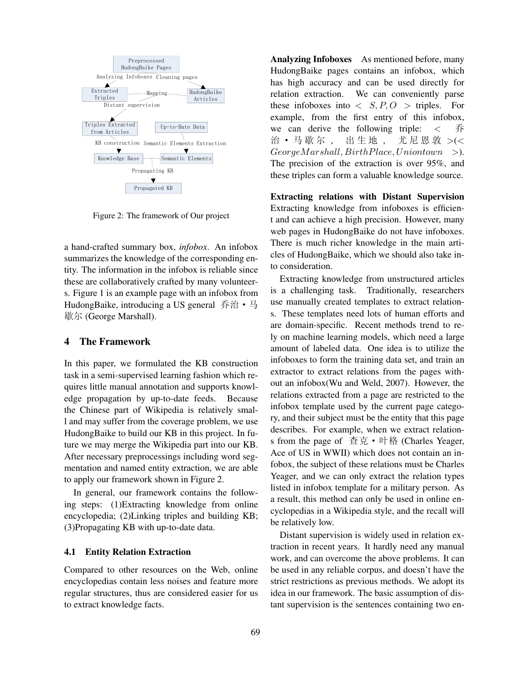

Figure 2: The framework of Our project

a hand-crafted summary box, *infobox*. An infobox summarizes the knowledge of the corresponding entity. The information in the infobox is reliable since these are collaboratively crafted by many volunteers. Figure 1 is an example page with an infobox from HudongBaike, introducing a US general 乔治 • 马 歇尔 (George Marshall).

## 4 The Framework

In this paper, we formulated the KB construction task in a semi-supervised learning fashion which requires little manual annotation and supports knowledge propagation by up-to-date feeds. Because the Chinese part of Wikipedia is relatively small and may suffer from the coverage problem, we use HudongBaike to build our KB in this project. In future we may merge the Wikipedia part into our KB. After necessary preprocessings including word segmentation and named entity extraction, we are able to apply our framework shown in Figure 2.

In general, our framework contains the following steps: (1)Extracting knowledge from online encyclopedia; (2)Linking triples and building KB; (3)Propagating KB with up-to-date data.

#### 4.1 Entity Relation Extraction

Compared to other resources on the Web, online encyclopedias contain less noises and feature more regular structures, thus are considered easier for us to extract knowledge facts.

Analyzing Infoboxes As mentioned before, many HudongBaike pages contains an infobox, which has high accuracy and can be used directly for relation extraction. We can conveniently parse these infoboxes into  $\langle S, P, O \rangle$  triples. For example, from the first entry of this infobox, we can derive the following triple: *<* 治 · 马歇尔, 出生地, 尤尼恩敦 >(< *GeorgeM arshall, BirthPlace, Uniontown >*). The precision of the extraction is over 95%, and these triples can form a valuable knowledge source.

Extracting relations with Distant Supervision Extracting knowledge from infoboxes is efficient and can achieve a high precision. However, many web pages in HudongBaike do not have infoboxes. There is much richer knowledge in the main articles of HudongBaike, which we should also take into consideration.

Extracting knowledge from unstructured articles is a challenging task. Traditionally, researchers use manually created templates to extract relations. These templates need lots of human efforts and are domain-specific. Recent methods trend to rely on machine learning models, which need a large amount of labeled data. One idea is to utilize the infoboxes to form the training data set, and train an extractor to extract relations from the pages without an infobox(Wu and Weld, 2007). However, the relations extracted from a page are restricted to the infobox template used by the current page category, and their subject must be the entity that this page describes. For example, when we extract relations from the page of  $\hat{\Phi}$ 克 • 叶格 (Charles Yeager, Ace of US in WWII) which does not contain an infobox, the subject of these relations must be Charles Yeager, and we can only extract the relation types listed in infobox template for a military person. As a result, this method can only be used in online encyclopedias in a Wikipedia style, and the recall will be relatively low.

Distant supervision is widely used in relation extraction in recent years. It hardly need any manual work, and can overcome the above problems. It can be used in any reliable corpus, and doesn't have the strict restrictions as previous methods. We adopt its idea in our framework. The basic assumption of distant supervision is the sentences containing two en-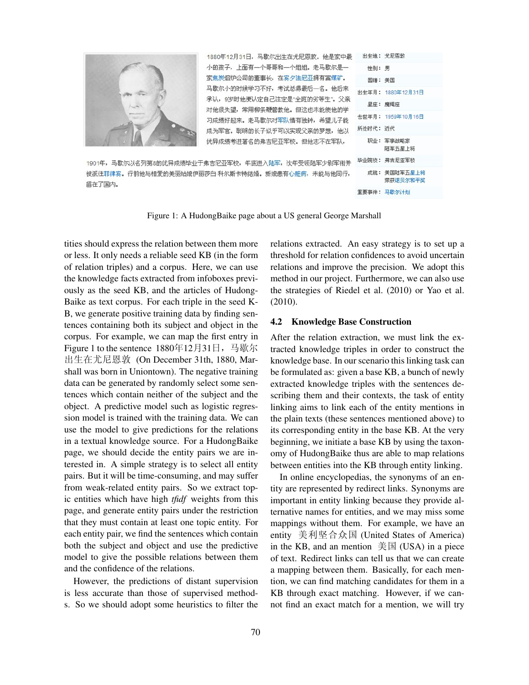

Figure 1: A HudongBaike page about a US general George Marshall

tities should express the relation between them more or less. It only needs a reliable seed KB (in the form of relation triples) and a corpus. Here, we can use the knowledge facts extracted from infoboxes previously as the seed KB, and the articles of Hudong-Baike as text corpus. For each triple in the seed K-B, we generate positive training data by finding sentences containing both its subject and object in the corpus. For example, we can map the first entry in Figure 1 to the sentence  $1880412731\Box$ , 马歇尔 出生在尤尼恩敦 (On December 31th, 1880, Marshall was born in Uniontown). The negative training data can be generated by randomly select some sentences which contain neither of the subject and the object. A predictive model such as logistic regression model is trained with the training data. We can use the model to give predictions for the relations in a textual knowledge source. For a HudongBaike page, we should decide the entity pairs we are interested in. A simple strategy is to select all entity pairs. But it will be time-consuming, and may suffer from weak-related entity pairs. So we extract topic entities which have high *tfidf* weights from this page, and generate entity pairs under the restriction that they must contain at least one topic entity. For each entity pair, we find the sentences which contain both the subject and object and use the predictive model to give the possible relations between them and the confidence of the relations.

However, the predictions of distant supervision is less accurate than those of supervised methods. So we should adopt some heuristics to filter the relations extracted. An easy strategy is to set up a threshold for relation confidences to avoid uncertain relations and improve the precision. We adopt this method in our project. Furthermore, we can also use the strategies of Riedel et al. (2010) or Yao et al. (2010).

#### 4.2 Knowledge Base Construction

After the relation extraction, we must link the extracted knowledge triples in order to construct the knowledge base. In our scenario this linking task can be formulated as: given a base KB, a bunch of newly extracted knowledge triples with the sentences describing them and their contexts, the task of entity linking aims to link each of the entity mentions in the plain texts (these sentences mentioned above) to its corresponding entity in the base KB. At the very beginning, we initiate a base KB by using the taxonomy of HudongBaike thus are able to map relations between entities into the KB through entity linking.

In online encyclopedias, the synonyms of an entity are represented by redirect links. Synonyms are important in entity linking because they provide alternative names for entities, and we may miss some mappings without them. For example, we have an entity 美利坚合众国 (United States of America) in the KB, and an mention  $\hat{\equiv} \boxtimes$  (USA) in a piece of text. Redirect links can tell us that we can create a mapping between them. Basically, for each mention, we can find matching candidates for them in a KB through exact matching. However, if we cannot find an exact match for a mention, we will try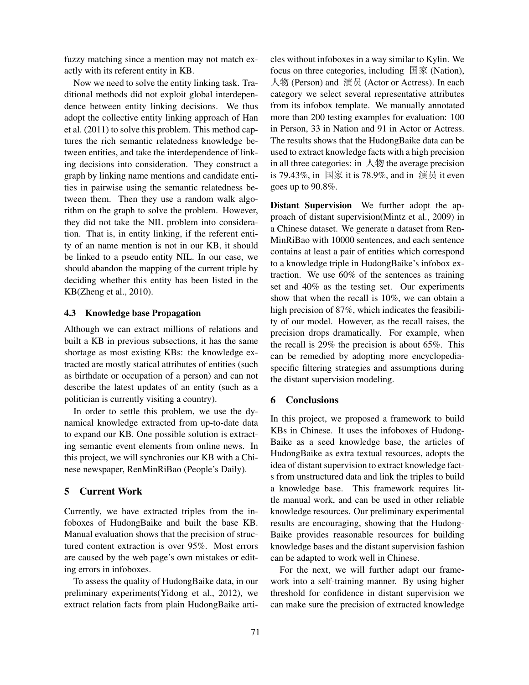fuzzy matching since a mention may not match exactly with its referent entity in KB.

Now we need to solve the entity linking task. Traditional methods did not exploit global interdependence between entity linking decisions. We thus adopt the collective entity linking approach of Han et al. (2011) to solve this problem. This method captures the rich semantic relatedness knowledge between entities, and take the interdependence of linking decisions into consideration. They construct a graph by linking name mentions and candidate entities in pairwise using the semantic relatedness between them. Then they use a random walk algorithm on the graph to solve the problem. However, they did not take the NIL problem into consideration. That is, in entity linking, if the referent entity of an name mention is not in our KB, it should be linked to a pseudo entity NIL. In our case, we should abandon the mapping of the current triple by deciding whether this entity has been listed in the KB(Zheng et al., 2010).

### 4.3 Knowledge base Propagation

Although we can extract millions of relations and built a KB in previous subsections, it has the same shortage as most existing KBs: the knowledge extracted are mostly statical attributes of entities (such as birthdate or occupation of a person) and can not describe the latest updates of an entity (such as a politician is currently visiting a country).

In order to settle this problem, we use the dynamical knowledge extracted from up-to-date data to expand our KB. One possible solution is extracting semantic event elements from online news. In this project, we will synchronies our KB with a Chinese newspaper, RenMinRiBao (People's Daily).

#### 5 Current Work

Currently, we have extracted triples from the infoboxes of HudongBaike and built the base KB. Manual evaluation shows that the precision of structured content extraction is over 95%. Most errors are caused by the web page's own mistakes or editing errors in infoboxes.

To assess the quality of HudongBaike data, in our preliminary experiments(Yidong et al., 2012), we extract relation facts from plain HudongBaike articles without infoboxes in a way similar to Kylin. We focus on three categories, including 国家 (Nation),  $\overline{\wedge}$  (*Person*) and 演员 (Actor or Actress). In each category we select several representative attributes from its infobox template. We manually annotated more than 200 testing examples for evaluation: 100 in Person, 33 in Nation and 91 in Actor or Actress. The results shows that the HudongBaike data can be used to extract knowledge facts with a high precision in all three categories: in  $\mathcal{N}$  the average precision is 79.43%, in 国家 it is 78.9%, and in 演员 it even goes up to 90.8%.

Distant Supervision We further adopt the approach of distant supervision(Mintz et al., 2009) in a Chinese dataset. We generate a dataset from Ren-MinRiBao with 10000 sentences, and each sentence contains at least a pair of entities which correspond to a knowledge triple in HudongBaike's infobox extraction. We use 60% of the sentences as training set and 40% as the testing set. Our experiments show that when the recall is 10%, we can obtain a high precision of 87%, which indicates the feasibility of our model. However, as the recall raises, the precision drops dramatically. For example, when the recall is 29% the precision is about 65%. This can be remedied by adopting more encyclopediaspecific filtering strategies and assumptions during the distant supervision modeling.

#### 6 Conclusions

In this project, we proposed a framework to build KBs in Chinese. It uses the infoboxes of Hudong-Baike as a seed knowledge base, the articles of HudongBaike as extra textual resources, adopts the idea of distant supervision to extract knowledge facts from unstructured data and link the triples to build a knowledge base. This framework requires little manual work, and can be used in other reliable knowledge resources. Our preliminary experimental results are encouraging, showing that the Hudong-Baike provides reasonable resources for building knowledge bases and the distant supervision fashion can be adapted to work well in Chinese.

For the next, we will further adapt our framework into a self-training manner. By using higher threshold for confidence in distant supervision we can make sure the precision of extracted knowledge